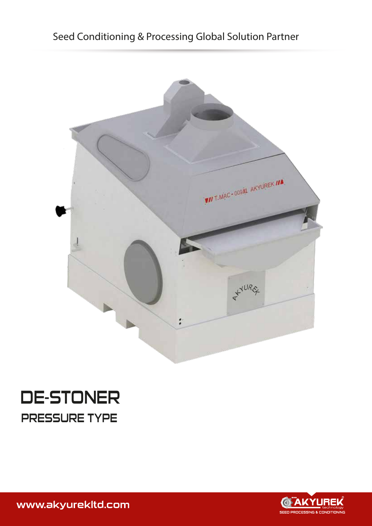## Seed Conditioning & Processing Global Solution Partner



# DE-STONER PRESSURE TYPE



www.akyurekltd.com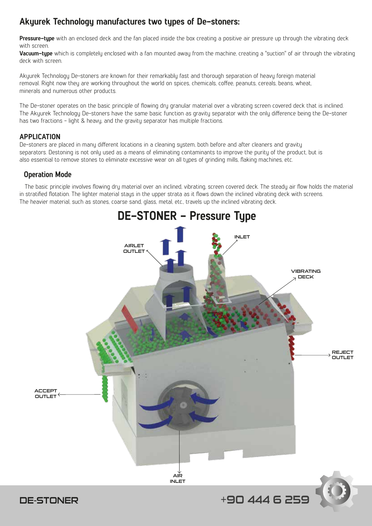### **Akyurek Technology manufactures two types of De-stoners:**

**Pressure-type** with an enclosed deck and the fan placed inside the box creating a positive air pressure up through the vibrating deck with screen.

**Vacuum-type** which is completely enclosed with a fan mounted away from the machine, creating a "suction" of air through the vibrating deck with screen.

Akyurek Technology De-stoners are known for their remarkably fast and thorough separation of heavy foreign material removal. Right now they are working throughout the world on spices, chemicals, coffee, peanuts, cereals, beans, wheat, minerals and numerous other products.

The De-stoner operates on the basic principle of flowing dry granular material over a vibrating screen covered deck that is inclined. The Akuurek Technology De-stoners have the same basic function as gravity separator with the only difference being the De-stoner has two fractions - light & heavy, and the gravity separator has multiple fractions.

#### **APPLICATION**

De-stoners are placed in many different locations in a cleaning system, both before and after cleaners and gravity separators. Destoning is not only used as a means of eliminating contaminants to improve the purity of the product, but is also essential to remove stones to eliminate excessive wear on all types of grinding mills, flaking machines, etc.

#### **Operation Mode**

 The basic principle involves flowing dry material over an inclined, vibrating, screen covered deck. The steady air flow holds the material in stratified flotation. The lighter material stays in the upper strata as it flows down the inclined vibrating deck with screens. The heavier material, such as stones, coarse sand, glass, metal, etc., travels up the inclined vibrating deck.

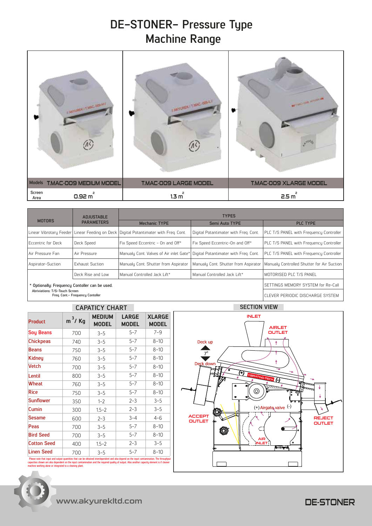## **DE-STONER- Pressure Type Machine Range**

| I ANYUREK I T MAC, 409-M C                     | I AKYUREK I TAMO AREL I      | <b>BUT WITH WAR ARRAIGN AND</b> |
|------------------------------------------------|------------------------------|---------------------------------|
| <b>Models</b><br><b>T.MAC-009 MEDIUM MODEL</b> | <b>T.MAC-009 LARGE MODEL</b> | <b>T.MAC-009 XLARGE MODEL</b>   |
| Screen<br>0.92 m <sup>2</sup><br>Area          | 1.3 m <sup>2</sup>           | 2.5 m <sup>2</sup>              |

|                                                                    | <b>ADJUSTABLE</b><br><b>PARAMETERS</b> | <b>TYPES</b>                                                                         |                                       |                                            |  |
|--------------------------------------------------------------------|----------------------------------------|--------------------------------------------------------------------------------------|---------------------------------------|--------------------------------------------|--|
| <b>MOTORS</b>                                                      |                                        | <b>Mechanic TYPE</b>                                                                 | Semi Auto TYPE                        | <b>PLC TYPE</b>                            |  |
|                                                                    |                                        | Linear Vibrotary Feeder Linear Feeding on Deck Digital Potantimater with Freg. Cont. | Digital Potantimater with Freg. Cont. | PLC T/S PANEL with Frequency Controller    |  |
| Eccentric for Deck                                                 | Deck Speed                             | Fix Speed Eccentric - On and Off*                                                    | Fix Speed Eccentric-On and Off*       | PLC T/S PANEL with Frequency Controller    |  |
| Air Pressure Fan                                                   | Air Pressure                           | Manualy Cont. Valves of Air inlet Gate*                                              | Digital Potantimater with Freg. Cont. | PLC T/S PANEL with Frequency Controller    |  |
| Aspirator-Suction                                                  | <b>Exhaust Suction</b>                 | Manualy Cont. Shutter from Aspirator<br>Manualy Cont. Shutter from Aspirator         |                                       | Manualy Controlled Shutter for Air Suction |  |
|                                                                    | Deck Rise and Low                      | Manual Controlled Jack Lift*                                                         | Manual Controlled Jack Lift*          | IMOTORISED PLC T/S PANEL                   |  |
| * Optionally: Frequency Contoller can be used.                     |                                        |                                                                                      |                                       | SETTINGS MEMORY SYSTEM for Re-Call         |  |
| Abriviations: T/S-Touch Screen<br>Freg. Cont.- Freguency Contoller |                                        |                                                                                      | I CLEVER PERIODIC DISCHARGE SYSTEM    |                                            |  |

### **CAPATICY CHART SECTION VIEW**

| <b>Product</b>     | $m^3$ / Kg | <b>MEDIUM</b><br><b>MODEL</b> | <b>LARGE</b><br><b>MODEL</b> | <b>XLARGE</b><br><b>MODEL</b> |
|--------------------|------------|-------------------------------|------------------------------|-------------------------------|
| <b>Soy Beans</b>   | 700        | $3 - 5$                       | $5 - 7$                      | $7 - 9$                       |
| <b>Chickpeas</b>   | 740        | $3 - 5$                       | $5 - 7$                      | $8 - 10$                      |
| <b>Beans</b>       | 750        | $3 - 5$                       | $5 - 7$                      | $8 - 10$                      |
| Kidney             | 760        | $3 - 5$                       | $5 - 7$                      | $8 - 10$                      |
| <b>Vetch</b>       | 700        | $3 - 5$                       | $5 - 7$                      | $8 - 10$                      |
| Lentil             | 800        | $3 - 5$                       | $5 - 7$                      | $8 - 10$                      |
| <b>Wheat</b>       | 760        | $3 - 5$                       | $5 - 7$                      | $8 - 10$                      |
| <b>Rice</b>        | 750        | $3 - 5$                       | $5 - 7$                      | $8 - 10$                      |
| <b>Sunflower</b>   | 350        | $1 - 2$                       | $2 - 3$                      | $3 - 5$                       |
| Cumin              | 300        | $1.5 - 2$                     | $2 - 3$                      | $3 - 5$                       |
| <b>Sesame</b>      | 600        | $2 - 3$                       | $3 - 4$                      | $4 - 6$                       |
| Peas               | 700        | $3 - 5$                       | $5 - 7$                      | $8 - 10$                      |
| <b>Bird Seed</b>   | 700        | $3 - 5$                       | $5 - 7$                      | $8 - 10$                      |
| <b>Cotton Seed</b> | 400        | $1.5 - 2$                     | $2 - 3$                      | $3 - 5$                       |
| <b>Linen Seed</b>  | 700        | $3 - 5$                       | $5 - 7$                      | $8 - 10$                      |

. Please note that input and output quantities that can be obtained interdependent and also depend on the input comtamination. The throughput<br>capacities shown are also dependent on the input comtamination and the required e note that input and output quantities that can be ol<br>ties shown are also dependent on the input comtamin<br>le working alone or integrated to a cleaning plant.